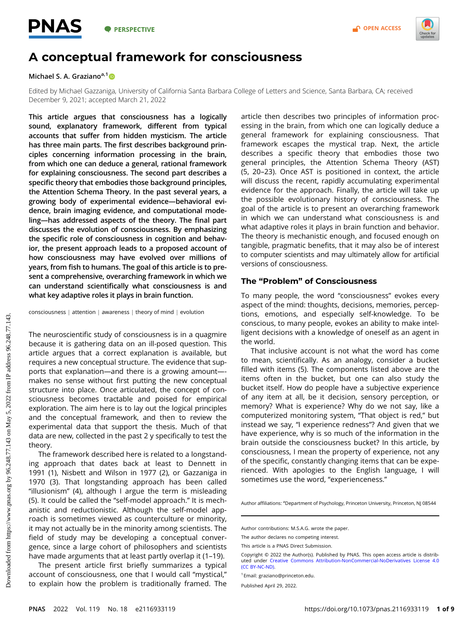

# A conceptual framework for consciousness

## Michael S. A. Graziano<sup>a,1</sup>

Edited by Michael Gazzaniga, University of California Santa Barbara College of Letters and Science, Santa Barbara, CA; received December 9, 2021; accepted March 21, 2022

This article argues that consciousness has a logically sound, explanatory framework, different from typical accounts that suffer from hidden mysticism. The article has three main parts. The first describes background principles concerning information processing in the brain, from which one can deduce a general, rational framework for explaining consciousness. The second part describes a specific theory that embodies those background principles, the Attention Schema Theory. In the past several years, a growing body of experimental evidence—behavioral evidence, brain imaging evidence, and computational modeling—has addressed aspects of the theory. The final part discusses the evolution of consciousness. By emphasizing the specific role of consciousness in cognition and behavior, the present approach leads to a proposed account of how consciousness may have evolved over millions of years, from fish to humans. The goal of this article is to present a comprehensive, overarching framework in which we can understand scientifically what consciousness is and what key adaptive roles it plays in brain function.

consciousness j attention j awareness j theory of mind j evolution

The neuroscientific study of consciousness is in a quagmire because it is gathering data on an ill-posed question. This article argues that a correct explanation is available, but requires a new conceptual structure. The evidence that supports that explanation—and there is a growing amount— makes no sense without first putting the new conceptual structure into place. Once articulated, the concept of consciousness becomes tractable and poised for empirical exploration. The aim here is to lay out the logical principles and the conceptual framework, and then to review the experimental data that support the thesis. Much of that data are new, collected in the past 2 y specifically to test the theory.

The framework described here is related to a longstanding approach that dates back at least to Dennett in 1991 (1), Nisbett and Wilson in 1977 (2), or Gazzaniga in 1970 (3). That longstanding approach has been called "illusionism" (4), although I argue the term is misleading (5). It could be called the "self-model approach." It is mechanistic and reductionistic. Although the self-model approach is sometimes viewed as counterculture or minority, it may not actually be in the minority among scientists. The field of study may be developing a conceptual convergence, since a large cohort of philosophers and scientists have made arguments that at least partly overlap it (1-19).

The present article first briefly summarizes a typical account of consciousness, one that I would call "mystical," to explain how the problem is traditionally framed. The

article then describes two principles of information processing in the brain, from which one can logically deduce a general framework for explaining consciousness. That framework escapes the mystical trap. Next, the article describes a specific theory that embodies those two general principles, the Attention Schema Theory (AST) (5, 20–23). Once AST is positioned in context, the article will discuss the recent, rapidly accumulating experimental evidence for the approach. Finally, the article will take up the possible evolutionary history of consciousness. The goal of the article is to present an overarching framework in which we can understand what consciousness is and what adaptive roles it plays in brain function and behavior. The theory is mechanistic enough, and focused enough on tangible, pragmatic benefits, that it may also be of interest to computer scientists and may ultimately allow for artificial versions of consciousness.

### The "Problem" of Consciousness

To many people, the word "consciousness" evokes every aspect of the mind: thoughts, decisions, memories, perceptions, emotions, and especially self-knowledge. To be conscious, to many people, evokes an ability to make intelligent decisions with a knowledge of oneself as an agent in the world.

That inclusive account is not what the word has come to mean, scientifically. As an analogy, consider a bucket filled with items (5). The components listed above are the items often in the bucket, but one can also study the bucket itself. How do people have a subjective experience of any item at all, be it decision, sensory perception, or memory? What is experience? Why do we not say, like a computerized monitoring system, "That object is red," but instead we say, "I experience redness"? And given that we have experience, why is so much of the information in the brain outside the consciousness bucket? In this article, by consciousness, I mean the property of experience, not any of the specific, constantly changing items that can be experienced. With apologies to the English language, I will sometimes use the word, "experienceness."

Author affiliations: <sup>a</sup>Department of Psychology, Princeton University, Princeton, NJ 08544

Author contributions: M.S.A.G. wrote the paper.

The author declares no competing interest.

This article is a PNAS Direct Submission.

Copyright © 2022 the Author(s). Published by PNAS. This open access article is distributed under [Creative Commons Attribution-NonCommercial-NoDerivatives License 4.0](https://creativecommons.org/licenses/by-nc-nd/4.0/) [\(CC BY-NC-ND\)](https://creativecommons.org/licenses/by-nc-nd/4.0/).

<sup>1</sup>Email: [graziano@princeton.edu](mailto:graziano@princeton.edu).

Published April 29, 2022.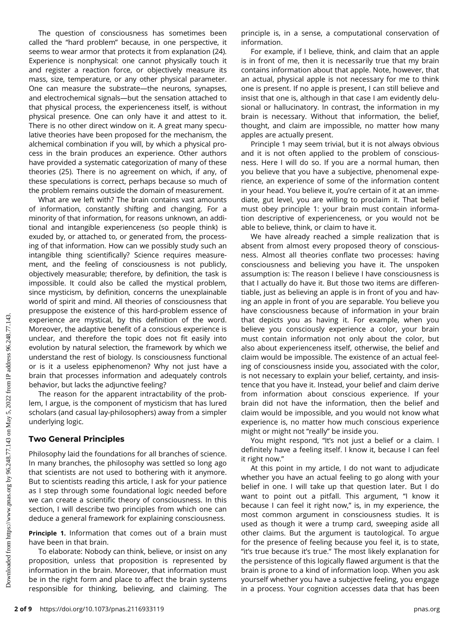The question of consciousness has sometimes been called the "hard problem" because, in one perspective, it seems to wear armor that protects it from explanation (24). Experience is nonphysical: one cannot physically touch it and register a reaction force, or objectively measure its mass, size, temperature, or any other physical parameter. One can measure the substrate—the neurons, synapses, and electrochemical signals—but the sensation attached to that physical process, the experienceness itself, is without physical presence. One can only have it and attest to it. There is no other direct window on it. A great many speculative theories have been proposed for the mechanism, the alchemical combination if you will, by which a physical process in the brain produces an experience. Other authors have provided a systematic categorization of many of these theories (25). There is no agreement on which, if any, of these speculations is correct, perhaps because so much of the problem remains outside the domain of measurement.

What are we left with? The brain contains vast amounts of information, constantly shifting and changing. For a minority of that information, for reasons unknown, an additional and intangible experienceness (so people think) is exuded by, or attached to, or generated from, the processing of that information. How can we possibly study such an intangible thing scientifically? Science requires measurement, and the feeling of consciousness is not publicly, objectively measurable; therefore, by definition, the task is impossible. It could also be called the mystical problem, since mysticism, by definition, concerns the unexplainable world of spirit and mind. All theories of consciousness that presuppose the existence of this hard-problem essence of experience are mystical, by this definition of the word. Moreover, the adaptive benefit of a conscious experience is unclear, and therefore the topic does not fit easily into evolution by natural selection, the framework by which we understand the rest of biology. Is consciousness functional or is it a useless epiphenomenon? Why not just have a brain that processes information and adequately controls behavior, but lacks the adjunctive feeling?

The reason for the apparent intractability of the problem, I argue, is the component of mysticism that has lured scholars (and casual lay-philosophers) away from a simpler underlying logic.

# Two General Principles

Philosophy laid the foundations for all branches of science. In many branches, the philosophy was settled so long ago that scientists are not used to bothering with it anymore. But to scientists reading this article, I ask for your patience as I step through some foundational logic needed before we can create a scientific theory of consciousness. In this section, I will describe two principles from which one can deduce a general framework for explaining consciousness.

**Principle 1.** Information that comes out of a brain must have been in that brain.

To elaborate: Nobody can think, believe, or insist on any proposition, unless that proposition is represented by information in the brain. Moreover, that information must be in the right form and place to affect the brain systems responsible for thinking, believing, and claiming. The

principle is, in a sense, a computational conservation of information.

For example, if I believe, think, and claim that an apple is in front of me, then it is necessarily true that my brain contains information about that apple. Note, however, that an actual, physical apple is not necessary for me to think one is present. If no apple is present, I can still believe and insist that one is, although in that case I am evidently delusional or hallucinatory. In contrast, the information in my brain is necessary. Without that information, the belief, thought, and claim are impossible, no matter how many apples are actually present.

Principle 1 may seem trivial, but it is not always obvious and it is not often applied to the problem of consciousness. Here I will do so. If you are a normal human, then you believe that you have a subjective, phenomenal experience, an experience of some of the information content in your head. You believe it, you're certain of it at an immediate, gut level, you are willing to proclaim it. That belief must obey principle 1: your brain must contain information descriptive of experienceness, or you would not be able to believe, think, or claim to have it.

We have already reached a simple realization that is absent from almost every proposed theory of consciousness. Almost all theories conflate two processes: having consciousness and believing you have it. The unspoken assumption is: The reason I believe I have consciousness is that I actually do have it. But those two items are differentiable, just as believing an apple is in front of you and having an apple in front of you are separable. You believe you have consciousness because of information in your brain that depicts you as having it. For example, when you believe you consciously experience a color, your brain must contain information not only about the color, but also about experienceness itself, otherwise, the belief and claim would be impossible. The existence of an actual feeling of consciousness inside you, associated with the color, is not necessary to explain your belief, certainty, and insistence that you have it. Instead, your belief and claim derive from information about conscious experience. If your brain did not have the information, then the belief and claim would be impossible, and you would not know what experience is, no matter how much conscious experience might or might not "really" be inside you.

You might respond, "It's not just a belief or a claim. I definitely have a feeling itself. I know it, because I can feel it right now."

At this point in my article, I do not want to adjudicate whether you have an actual feeling to go along with your belief in one. I will take up that question later. But I do want to point out a pitfall. This argument, "I know it because I can feel it right now," is, in my experience, the most common argument in consciousness studies. It is used as though it were a trump card, sweeping aside all other claims. But the argument is tautological. To argue for the presence of feeling because you feel it, is to state, "it's true because it's true." The most likely explanation for the persistence of this logically flawed argument is that the brain is prone to a kind of information loop. When you ask yourself whether you have a subjective feeling, you engage in a process. Your cognition accesses data that has been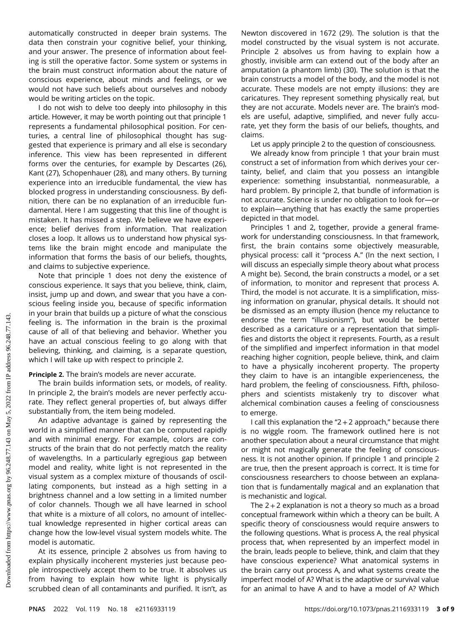automatically constructed in deeper brain systems. The data then constrain your cognitive belief, your thinking, and your answer. The presence of information about feeling is still the operative factor. Some system or systems in the brain must construct information about the nature of conscious experience, about minds and feelings, or we would not have such beliefs about ourselves and nobody would be writing articles on the topic.

I do not wish to delve too deeply into philosophy in this article. However, it may be worth pointing out that principle 1 represents a fundamental philosophical position. For centuries, a central line of philosophical thought has suggested that experience is primary and all else is secondary inference. This view has been represented in different forms over the centuries, for example by Descartes (26), Kant (27), Schopenhauer (28), and many others. By turning experience into an irreducible fundamental, the view has blocked progress in understanding consciousness. By definition, there can be no explanation of an irreducible fundamental. Here I am suggesting that this line of thought is mistaken. It has missed a step. We believe we have experience; belief derives from information. That realization closes a loop. It allows us to understand how physical systems like the brain might encode and manipulate the information that forms the basis of our beliefs, thoughts, and claims to subjective experience.

Note that principle 1 does not deny the existence of conscious experience. It says that you believe, think, claim, insist, jump up and down, and swear that you have a conscious feeling inside you, because of specific information in your brain that builds up a picture of what the conscious feeling is. The information in the brain is the proximal cause of all of that believing and behavior. Whether you have an actual conscious feeling to go along with that believing, thinking, and claiming, is a separate question, which I will take up with respect to principle 2.

#### Principle 2. The brain's models are never accurate.

The brain builds information sets, or models, of reality. In principle 2, the brain's models are never perfectly accurate. They reflect general properties of, but always differ substantially from, the item being modeled.

An adaptive advantage is gained by representing the world in a simplified manner that can be computed rapidly and with minimal energy. For example, colors are constructs of the brain that do not perfectly match the reality of wavelengths. In a particularly egregious gap between model and reality, white light is not represented in the visual system as a complex mixture of thousands of oscillating components, but instead as a high setting in a brightness channel and a low setting in a limited number of color channels. Though we all have learned in school that white is a mixture of all colors, no amount of intellectual knowledge represented in higher cortical areas can change how the low-level visual system models white. The model is automatic.

At its essence, principle 2 absolves us from having to explain physically incoherent mysteries just because people introspectively accept them to be true. It absolves us from having to explain how white light is physically scrubbed clean of all contaminants and purified. It isn't, as

Newton discovered in 1672 (29). The solution is that the model constructed by the visual system is not accurate. Principle 2 absolves us from having to explain how a ghostly, invisible arm can extend out of the body after an amputation (a phantom limb) (30). The solution is that the brain constructs a model of the body, and the model is not accurate. These models are not empty illusions: they are caricatures. They represent something physically real, but they are not accurate. Models never are. The brain's models are useful, adaptive, simplified, and never fully accurate, yet they form the basis of our beliefs, thoughts, and claims.

Let us apply principle 2 to the question of consciousness.

We already know from principle 1 that your brain must construct a set of information from which derives your certainty, belief, and claim that you possess an intangible experience: something insubstantial, nonmeasurable, a hard problem. By principle 2, that bundle of information is not accurate. Science is under no obligation to look for—or to explain—anything that has exactly the same properties depicted in that model.

Principles 1 and 2, together, provide a general framework for understanding consciousness. In that framework, first, the brain contains some objectively measurable, physical process: call it "process A." (In the next section, I will discuss an especially simple theory about what process A might be). Second, the brain constructs a model, or a set of information, to monitor and represent that process A. Third, the model is not accurate. It is a simplification, missing information on granular, physical details. It should not be dismissed as an empty illusion (hence my reluctance to endorse the term "illusionism"), but would be better described as a caricature or a representation that simplifies and distorts the object it represents. Fourth, as a result of the simplified and imperfect information in that model reaching higher cognition, people believe, think, and claim to have a physically incoherent property. The property they claim to have is an intangible experienceness, the hard problem, the feeling of consciousness. Fifth, philosophers and scientists mistakenly try to discover what alchemical combination causes a feeling of consciousness to emerge.

I call this explanation the "2 + 2 approach," because there is no wiggle room. The framework outlined here is not another speculation about a neural circumstance that might or might not magically generate the feeling of consciousness. It is not another opinion. If principle 1 and principle 2 are true, then the present approach is correct. It is time for consciousness researchers to choose between an explanation that is fundamentally magical and an explanation that is mechanistic and logical.

The  $2+2$  explanation is not a theory so much as a broad conceptual framework within which a theory can be built. A specific theory of consciousness would require answers to the following questions. What is process A, the real physical process that, when represented by an imperfect model in the brain, leads people to believe, think, and claim that they have conscious experience? What anatomical systems in the brain carry out process A, and what systems create the imperfect model of A? What is the adaptive or survival value for an animal to have A and to have a model of A? Which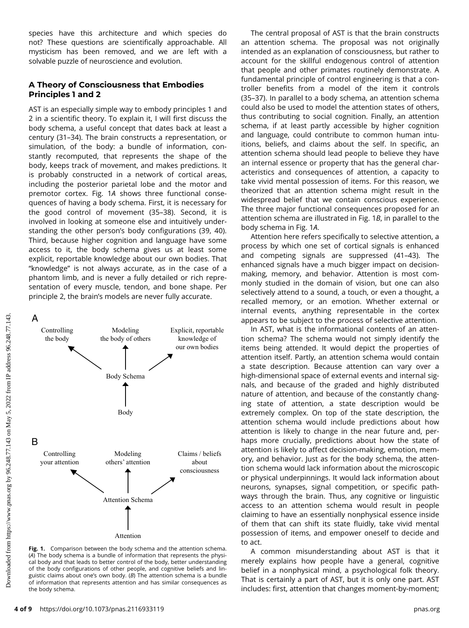species have this architecture and which species do not? These questions are scientifically approachable. All mysticism has been removed, and we are left with a solvable puzzle of neuroscience and evolution.

# A Theory of Consciousness that Embodies Principles 1 and 2

AST is an especially simple way to embody principles 1 and 2 in a scientific theory. To explain it, I will first discuss the body schema, a useful concept that dates back at least a century (31–34). The brain constructs a representation, or simulation, of the body: a bundle of information, constantly recomputed, that represents the shape of the body, keeps track of movement, and makes predictions. It is probably constructed in a network of cortical areas, including the posterior parietal lobe and the motor and premotor cortex. Fig. 1A shows three functional consequences of having a body schema. First, it is necessary for the good control of movement (35–38). Second, it is involved in looking at someone else and intuitively understanding the other person's body configurations (39, 40). Third, because higher cognition and language have some access to it, the body schema gives us at least some explicit, reportable knowledge about our own bodies. That "knowledge" is not always accurate, as in the case of a phantom limb, and is never a fully detailed or rich representation of every muscle, tendon, and bone shape. Per principle 2, the brain's models are never fully accurate.



Fig. 1. Comparison between the body schema and the attention schema. (A) The body schema is a bundle of information that represents the physical body and that leads to better control of the body, better understanding of the body configurations of other people, and cognitive beliefs and linguistic claims about one's own body. (B) The attention schema is a bundle of information that represents attention and has similar consequences as the body schema.

The central proposal of AST is that the brain constructs an attention schema. The proposal was not originally intended as an explanation of consciousness, but rather to account for the skillful endogenous control of attention that people and other primates routinely demonstrate. A fundamental principle of control engineering is that a controller benefits from a model of the item it controls (35–37). In parallel to a body schema, an attention schema could also be used to model the attention states of others, thus contributing to social cognition. Finally, an attention schema, if at least partly accessible by higher cognition and language, could contribute to common human intuitions, beliefs, and claims about the self. In specific, an attention schema should lead people to believe they have an internal essence or property that has the general characteristics and consequences of attention, a capacity to take vivid mental possession of items. For this reason, we theorized that an attention schema might result in the widespread belief that we contain conscious experience. The three major functional consequences proposed for an attention schema are illustrated in Fig. 1B, in parallel to the body schema in Fig. 1A.

Attention here refers specifically to selective attention, a process by which one set of cortical signals is enhanced and competing signals are suppressed (41–43). The enhanced signals have a much bigger impact on decisionmaking, memory, and behavior. Attention is most commonly studied in the domain of vision, but one can also selectively attend to a sound, a touch, or even a thought, a recalled memory, or an emotion. Whether external or internal events, anything representable in the cortex appears to be subject to the process of selective attention.

In AST, what is the informational contents of an attention schema? The schema would not simply identify the items being attended. It would depict the properties of attention itself. Partly, an attention schema would contain a state description. Because attention can vary over a high-dimensional space of external events and internal signals, and because of the graded and highly distributed nature of attention, and because of the constantly changing state of attention, a state description would be extremely complex. On top of the state description, the attention schema would include predictions about how attention is likely to change in the near future and, perhaps more crucially, predictions about how the state of attention is likely to affect decision-making, emotion, memory, and behavior. Just as for the body schema, the attention schema would lack information about the microscopic or physical underpinnings. It would lack information about neurons, synapses, signal competition, or specific pathways through the brain. Thus, any cognitive or linguistic access to an attention schema would result in people claiming to have an essentially nonphysical essence inside of them that can shift its state fluidly, take vivid mental possession of items, and empower oneself to decide and to act.

A common misunderstanding about AST is that it merely explains how people have a general, cognitive belief in a nonphysical mind, a psychological folk theory. That is certainly a part of AST, but it is only one part. AST includes: first, attention that changes moment-by-moment;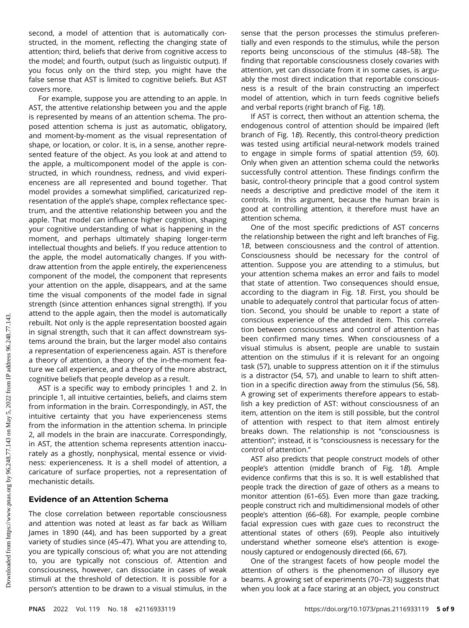second, a model of attention that is automatically constructed, in the moment, reflecting the changing state of attention; third, beliefs that derive from cognitive access to the model; and fourth, output (such as linguistic output). If you focus only on the third step, you might have the false sense that AST is limited to cognitive beliefs. But AST covers more.

For example, suppose you are attending to an apple. In AST, the attentive relationship between you and the apple is represented by means of an attention schema. The proposed attention schema is just as automatic, obligatory, and moment-by-moment as the visual representation of shape, or location, or color. It is, in a sense, another represented feature of the object. As you look at and attend to the apple, a multicomponent model of the apple is constructed, in which roundness, redness, and vivid experienceness are all represented and bound together. That model provides a somewhat simplified, caricaturized representation of the apple's shape, complex reflectance spectrum, and the attentive relationship between you and the apple. That model can influence higher cognition, shaping your cognitive understanding of what is happening in the moment, and perhaps ultimately shaping longer-term intellectual thoughts and beliefs. If you reduce attention to the apple, the model automatically changes. If you withdraw attention from the apple entirely, the experienceness component of the model, the component that represents your attention on the apple, disappears, and at the same time the visual components of the model fade in signal strength (since attention enhances signal strength). If you attend to the apple again, then the model is automatically rebuilt. Not only is the apple representation boosted again in signal strength, such that it can affect downstream systems around the brain, but the larger model also contains a representation of experienceness again. AST is therefore a theory of attention, a theory of the in-the-moment feature we call experience, and a theory of the more abstract, cognitive beliefs that people develop as a result.

AST is a specific way to embody principles 1 and 2. In principle 1, all intuitive certainties, beliefs, and claims stem from information in the brain. Correspondingly, in AST, the intuitive certainty that you have experienceness stems from the information in the attention schema. In principle 2, all models in the brain are inaccurate. Correspondingly, in AST, the attention schema represents attention inaccurately as a ghostly, nonphysical, mental essence or vividness: experienceness. It is a shell model of attention, a caricature of surface properties, not a representation of mechanistic details.

# Evidence of an Attention Schema

The close correlation between reportable consciousness and attention was noted at least as far back as William James in 1890 (44), and has been supported by a great variety of studies since (45–47). What you are attending to, you are typically conscious of; what you are not attending to, you are typically not conscious of. Attention and consciousness, however, can dissociate in cases of weak stimuli at the threshold of detection. It is possible for a person's attention to be drawn to a visual stimulus, in the

sense that the person processes the stimulus preferentially and even responds to the stimulus, while the person reports being unconscious of the stimulus (48–58). The finding that reportable consciousness closely covaries with attention, yet can dissociate from it in some cases, is arguably the most direct indication that reportable consciousness is a result of the brain constructing an imperfect model of attention, which in turn feeds cognitive beliefs and verbal reports (right branch of Fig. 1B).

If AST is correct, then without an attention schema, the endogenous control of attention should be impaired (left branch of Fig. 1B). Recently, this control-theory prediction was tested using artificial neural-network models trained to engage in simple forms of spatial attention (59, 60). Only when given an attention schema could the networks successfully control attention. These findings confirm the basic, control-theory principle that a good control system needs a descriptive and predictive model of the item it controls. In this argument, because the human brain is good at controlling attention, it therefore must have an attention schema.

One of the most specific predictions of AST concerns the relationship between the right and left branches of Fig. 1B, between consciousness and the control of attention. Consciousness should be necessary for the control of attention. Suppose you are attending to a stimulus, but your attention schema makes an error and fails to model that state of attention. Two consequences should ensue, according to the diagram in Fig. 1B. First, you should be unable to adequately control that particular focus of attention. Second, you should be unable to report a state of conscious experience of the attended item. This correlation between consciousness and control of attention has been confirmed many times. When consciousness of a visual stimulus is absent, people are unable to sustain attention on the stimulus if it is relevant for an ongoing task (57), unable to suppress attention on it if the stimulus is a distractor (54, 57), and unable to learn to shift attention in a specific direction away from the stimulus (56, 58). A growing set of experiments therefore appears to establish a key prediction of AST: without consciousness of an item, attention on the item is still possible, but the control of attention with respect to that item almost entirely breaks down. The relationship is not "consciousness is attention"; instead, it is "consciousness is necessary for the control of attention."

AST also predicts that people construct models of other people's attention (middle branch of Fig. 1B). Ample evidence confirms that this is so. It is well established that people track the direction of gaze of others as a means to monitor attention (61–65). Even more than gaze tracking, people construct rich and multidimensional models of other people's attention (66–68). For example, people combine facial expression cues with gaze cues to reconstruct the attentional states of others (69). People also intuitively understand whether someone else's attention is exogenously captured or endogenously directed (66, 67).

One of the strangest facets of how people model the attention of others is the phenomenon of illusory eye beams. A growing set of experiments (70–73) suggests that when you look at a face staring at an object, you construct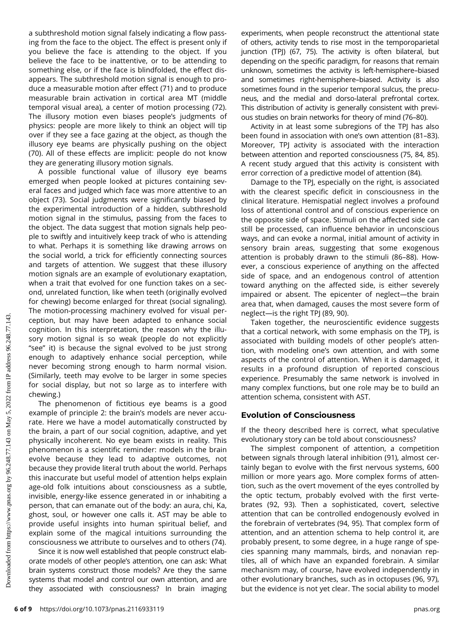a subthreshold motion signal falsely indicating a flow passing from the face to the object. The effect is present only if you believe the face is attending to the object. If you believe the face to be inattentive, or to be attending to something else, or if the face is blindfolded, the effect disappears. The subthreshold motion signal is enough to produce a measurable motion after effect (71) and to produce measurable brain activation in cortical area MT (middle temporal visual area), a center of motion processing (72). The illusory motion even biases people's judgments of physics: people are more likely to think an object will tip over if they see a face gazing at the object, as though the illusory eye beams are physically pushing on the object (70). All of these effects are implicit: people do not know they are generating illusory motion signals.

A possible functional value of illusory eye beams emerged when people looked at pictures containing several faces and judged which face was more attentive to an object (73). Social judgments were significantly biased by the experimental introduction of a hidden, subthreshold motion signal in the stimulus, passing from the faces to the object. The data suggest that motion signals help people to swiftly and intuitively keep track of who is attending to what. Perhaps it is something like drawing arrows on the social world, a trick for efficiently connecting sources and targets of attention. We suggest that these illusory motion signals are an example of evolutionary exaptation, when a trait that evolved for one function takes on a second, unrelated function, like when teeth (originally evolved for chewing) become enlarged for threat (social signaling). The motion-processing machinery evolved for visual perception, but may have been adapted to enhance social cognition. In this interpretation, the reason why the illusory motion signal is so weak (people do not explicitly "see" it) is because the signal evolved to be just strong enough to adaptively enhance social perception, while never becoming strong enough to harm normal vision. (Similarly, teeth may evolve to be larger in some species for social display, but not so large as to interfere with chewing.)

The phenomenon of fictitious eye beams is a good example of principle 2: the brain's models are never accurate. Here we have a model automatically constructed by the brain, a part of our social cognition, adaptive, and yet physically incoherent. No eye beam exists in reality. This phenomenon is a scientific reminder: models in the brain evolve because they lead to adaptive outcomes, not because they provide literal truth about the world. Perhaps this inaccurate but useful model of attention helps explain age-old folk intuitions about consciousness as a subtle, invisible, energy-like essence generated in or inhabiting a person, that can emanate out of the body: an aura, chi, Ka, ghost, soul, or however one calls it. AST may be able to provide useful insights into human spiritual belief, and explain some of the magical intuitions surrounding the consciousness we attribute to ourselves and to others (74).

Since it is now well established that people construct elaborate models of other people's attention, one can ask: What brain systems construct those models? Are they the same systems that model and control our own attention, and are they associated with consciousness? In brain imaging

experiments, when people reconstruct the attentional state of others, activity tends to rise most in the temporoparietal junction (TPJ) (67, 75). The activity is often bilateral, but depending on the specific paradigm, for reasons that remain unknown, sometimes the activity is left-hemisphere–biased and sometimes right-hemisphere–biased. Activity is also sometimes found in the superior temporal sulcus, the precuneus, and the medial and dorso-lateral prefrontal cortex. This distribution of activity is generally consistent with previous studies on brain networks for theory of mind (76–80).

Activity in at least some subregions of the TPJ has also been found in association with one's own attention (81–83). Moreover, TPJ activity is associated with the interaction between attention and reported consciousness (75, 84, 85). A recent study argued that this activity is consistent with error correction of a predictive model of attention (84).

Damage to the TPJ, especially on the right, is associated with the clearest specific deficit in consciousness in the clinical literature. Hemispatial neglect involves a profound loss of attentional control and of conscious experience on the opposite side of space. Stimuli on the affected side can still be processed, can influence behavior in unconscious ways, and can evoke a normal, initial amount of activity in sensory brain areas, suggesting that some exogenous attention is probably drawn to the stimuli (86–88). However, a conscious experience of anything on the affected side of space, and an endogenous control of attention toward anything on the affected side, is either severely impaired or absent. The epicenter of neglect—the brain area that, when damaged, causes the most severe form of neglect—is the right TPJ (89, 90).

Taken together, the neuroscientific evidence suggests that a cortical network, with some emphasis on the TPJ, is associated with building models of other people's attention, with modeling one's own attention, and with some aspects of the control of attention. When it is damaged, it results in a profound disruption of reported conscious experience. Presumably the same network is involved in many complex functions, but one role may be to build an attention schema, consistent with AST.

# Evolution of Consciousness

If the theory described here is correct, what speculative evolutionary story can be told about consciousness?

The simplest component of attention, a competition between signals through lateral inhibition (91), almost certainly began to evolve with the first nervous systems, 600 million or more years ago. More complex forms of attention, such as the overt movement of the eyes controlled by the optic tectum, probably evolved with the first vertebrates (92, 93). Then a sophisticated, covert, selective attention that can be controlled endogenously evolved in the forebrain of vertebrates (94, 95). That complex form of attention, and an attention schema to help control it, are probably present, to some degree, in a huge range of species spanning many mammals, birds, and nonavian reptiles, all of which have an expanded forebrain. A similar mechanism may, of course, have evolved independently in other evolutionary branches, such as in octopuses (96, 97), but the evidence is not yet clear. The social ability to model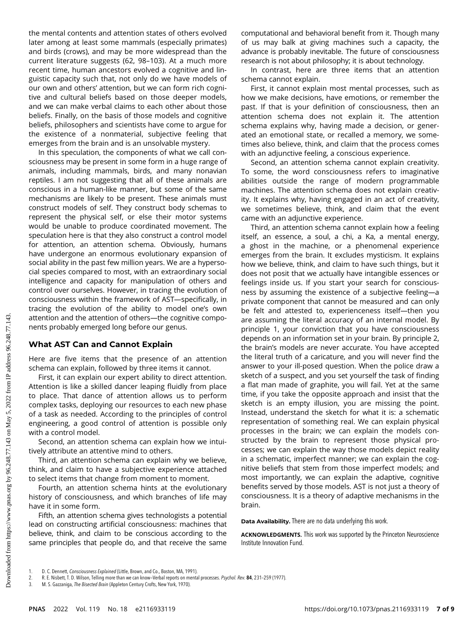the mental contents and attention states of others evolved later among at least some mammals (especially primates) and birds (crows), and may be more widespread than the current literature suggests (62, 98–103). At a much more recent time, human ancestors evolved a cognitive and linguistic capacity such that, not only do we have models of our own and others' attention, but we can form rich cognitive and cultural beliefs based on those deeper models, and we can make verbal claims to each other about those beliefs. Finally, on the basis of those models and cognitive beliefs, philosophers and scientists have come to argue for the existence of a nonmaterial, subjective feeling that emerges from the brain and is an unsolvable mystery.

In this speculation, the components of what we call consciousness may be present in some form in a huge range of animals, including mammals, birds, and many nonavian reptiles. I am not suggesting that all of these animals are conscious in a human-like manner, but some of the same mechanisms are likely to be present. These animals must construct models of self. They construct body schemas to represent the physical self, or else their motor systems would be unable to produce coordinated movement. The speculation here is that they also construct a control model for attention, an attention schema. Obviously, humans have undergone an enormous evolutionary expansion of social ability in the past few million years. We are a hypersocial species compared to most, with an extraordinary social intelligence and capacity for manipulation of others and control over ourselves. However, in tracing the evolution of consciousness within the framework of AST—specifically, in tracing the evolution of the ability to model one's own attention and the attention of others—the cognitive components probably emerged long before our genus.

# What AST Can and Cannot Explain

Here are five items that the presence of an attention schema can explain, followed by three items it cannot.

First, it can explain our expert ability to direct attention. Attention is like a skilled dancer leaping fluidly from place to place. That dance of attention allows us to perform complex tasks, deploying our resources to each new phase of a task as needed. According to the principles of control engineering, a good control of attention is possible only with a control model.

Second, an attention schema can explain how we intuitively attribute an attentive mind to others.

Third, an attention schema can explain why we believe, think, and claim to have a subjective experience attached to select items that change from moment to moment.

Fourth, an attention schema hints at the evolutionary history of consciousness, and which branches of life may have it in some form.

Fifth, an attention schema gives technologists a potential lead on constructing artificial consciousness: machines that believe, think, and claim to be conscious according to the same principles that people do, and that receive the same

computational and behavioral benefit from it. Though many of us may balk at giving machines such a capacity, the advance is probably inevitable. The future of consciousness research is not about philosophy; it is about technology.

In contrast, here are three items that an attention schema cannot explain.

First, it cannot explain most mental processes, such as how we make decisions, have emotions, or remember the past. If that is your definition of consciousness, then an attention schema does not explain it. The attention schema explains why, having made a decision, or generated an emotional state, or recalled a memory, we sometimes also believe, think, and claim that the process comes with an adjunctive feeling, a conscious experience.

Second, an attention schema cannot explain creativity. To some, the word consciousness refers to imaginative abilities outside the range of modern programmable machines. The attention schema does not explain creativity. It explains why, having engaged in an act of creativity, we sometimes believe, think, and claim that the event came with an adjunctive experience.

Third, an attention schema cannot explain how a feeling itself, an essence, a soul, a chi, a Ka, a mental energy, a ghost in the machine, or a phenomenal experience emerges from the brain. It excludes mysticism. It explains how we believe, think, and claim to have such things, but it does not posit that we actually have intangible essences or feelings inside us. If you start your search for consciousness by assuming the existence of a subjective feeling—a private component that cannot be measured and can only be felt and attested to, experienceness itself—then you are assuming the literal accuracy of an internal model. By principle 1, your conviction that you have consciousness depends on an information set in your brain. By principle 2, the brain's models are never accurate. You have accepted the literal truth of a caricature, and you will never find the answer to your ill-posed question. When the police draw a sketch of a suspect, and you set yourself the task of finding a flat man made of graphite, you will fail. Yet at the same time, if you take the opposite approach and insist that the sketch is an empty illusion, you are missing the point. Instead, understand the sketch for what it is: a schematic representation of something real. We can explain physical processes in the brain; we can explain the models constructed by the brain to represent those physical processes; we can explain the way those models depict reality in a schematic, imperfect manner; we can explain the cognitive beliefs that stem from those imperfect models; and most importantly, we can explain the adaptive, cognitive benefits served by those models. AST is not just a theory of consciousness. It is a theory of adaptive mechanisms in the brain.

Data Availability. There are no data underlying this work.

ACKNOWLEDGMENTS. This work was supported by the Princeton Neuroscience Institute Innovation Fund.

3. M. S. Gazzaniga, The Bisected Brain (Appleton Century Crofts, New York, 1970).

<sup>2.</sup> R. E. Nisbett, T. D. Wilson, Telling more than we can know-Verbal reports on mental processes. Psychol. Rev. 84, 231-259 (1977).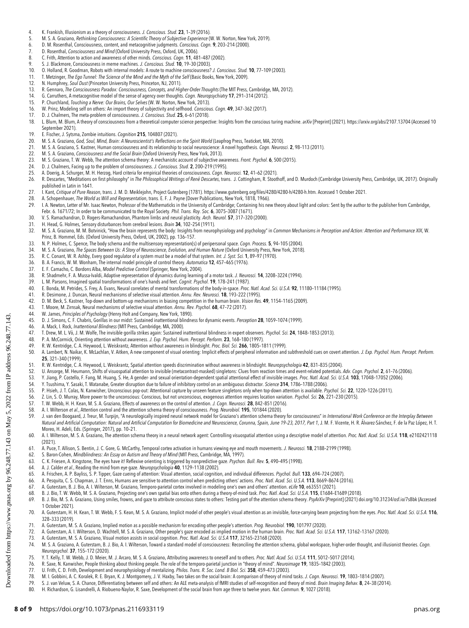- 
- 4. K. Frankish, Illusionism as a theory of consciousness. *J. Conscious. Stud. 23,* 1–39 (2016).<br>5. M. S. A. Graziano, *Rethinking Consciousness: A Scientific Theory of Subjective Experience* (W. W. Norton,
- 6. D. M. Rosenthal, Consciousness, content, and metacognitive judgments. *Conscious. Cogn.* **9**, 203–214 (2000).<br>7. D. Rosenthal, *Consciousness and Mind* (Oxford University Press, Oxford, UK, 2006).
- 
- 8. C. Frith, Attention to action and awareness of other minds. Conscious. Cogn. 11, 481-487 (2002).
- S. J. Blackmore, Consciousness in meme machines. J. Conscious. Stud. 10, 19-30 (2003).
- 10. O. Holland, R. Goodman, Robots with internal models: A route to machine consciousness? J. Conscious. Stud. 10, 77-109 (2003).
- 11. T. Metzinger, The Ego Tunnel: The Science of the Mind and the Myth of the Self (Basic Books, New York, 2009).<br>12. N. Humphrey, Soul Dust (Princeton University Press, Princeton, NJ, 2011).
- N. Humphrey, Soul Dust (Princeton University Press, Princeton, NJ, 2011).
- 13. R. Gennaro, The Consciousness Paradox: Consciousness, Concepts, and Higher-Order Thoughts (The MIT Press, Cambridge, MA, 2012).<br>14. G. Carruthers. A metacognitive model of the sense of agency over thoughts. Cogn. Neuro
- 14. G. Carruthers, A metacognitive model of the sense of agency over thoughts. Cogn. Neuropsychiatry 17, 291–314 (2012).<br>15. P. Churchland, *Touching a Nerve: Our Brains. Our Selves* (W. W. Norton, New York, 2013).
- 15. P. Churchland, *Touching a Nerve: Our Brains, Our Selves* (W. W. Norton, New York, 2013).<br>16. W. Prinz. Modeling self on others: An import theory of subiectivity and selfhood. *Consciol* 16. W. Prinz, Modeling self on others: An import theory of subjectivity and selfhood. Conscious. Cogn. 49, 347–362 (2017).<br>17. D. J. Chalmers. The meta-problem of consciousness. J. Conscious. Stud. 25. 6-61 (2018).
- 
- 17. D. J. Chalmers, The meta-problem of consciousness. J. Conscious. Stud. 25, 6–61 (2018).<br>18. L. Blum. M. Blum. A theory of consciousness from a theoretical computer science perspec L. Blum, M. Blum, A theory of consciousness from a theoretical computer science perspective: Insights from the conscious turing machine. arXiv [Preprint] (2021).<https://arxiv.org/abs/2107.13704> (Accessed 10 September 2021).
- 
- 19. E. Fischer, J. Sytsma, Zombie intuitions. *Cognition* **215**, 104807 (2021).<br>20. M. S. A. Graziano, *God, Soul, Mind, Brain: A Neuroscientist's Reflections on the Spirit World* (Leapfrog Press, Teaticket, MA,
- 21. M. S. A. Graziano, S. Kastner, Human consciousness and its relationship to social neuroscience: A novel hypothesis. Cogn. Neurosci. 2, 98–113 (2011).
- 
- 22. M. S. A. Graziano, *Consciousness and the Social Brain* (Oxford University Press, New York, 2013).<br>23. M. S. Graziano, T. W. Webb, The attention schema theory: A mechanistic account of subjective awareness. *Fr*
- 24. D. J. Chalmers, Facing up to the problem of consciousness. J. Conscious. Stud. 2, 200-219 (1995).<br>25. A. Doerig. A. Schurger. M. H. Herzog. Hard criteria for empirical theories of consciousness. Cogn. N.
- A. Doerig, A. Schurger, M. H. Herzog, Hard criteria for empirical theories of consciousness. Cogn. Neurosci. 12, 41-62 (2021).
- 26. R. Descartes, "Meditations on first philosophy" in The Philosophical Writings of René Descartes, trans. J. Cottingham, R. Stoothoff, and D. Murdoch (Cambridge University Press, Cambridge, UK, 2017). Originally published in Latin in 1641.
- 27. I. Kant, Critique of Pure Reason, trans. J. M. D. Meiklejohn, Project Gutenberg (1781). https://www.gutenberg.org/fi[les/4280/4280-h/4280-h.htm.](https://www.gutenberg.org/files/4280/4280-h/4280-h.htm) Accessed 1 October 2021.
- 28. A. Schopenhauer, The World as Will and Representation, trans. E. F. J. Payne (Dover Publications, New York, 1818, 1966).<br>29. L. A. Newton. Letter of Mr. Isaac Newton. Professor of the Mathematicks in the University of
- 1. A. Newton, Letter of Mr. Isaac Newton, Professor of the Mathematicks in the University of Cambridge; Containing his new theory about light and colors: Sent by the author to the publisher from Cambridge,
- Febr. 6. 1671/72; In order to be communicated to the Royal Society. *Phil. Trans. Roy. Soc.* **6,** 3075–3087 (1671).<br>30. V. S. Ramachandran, D. Rogers-Ramachandran, Phantom limbs and neural plasticity. *Arch. Neurol.* 57, 3
- 
- 31. H. Head, G. Holmes, Sensory disturbances from cerebral lesions. Brain 34, 102-254 (1911).
- 32. M. S. A. Graziano, M. M. Botvinick, "How the brain represents the body: Insights from neurophysiology and psychology" in Common Mechanisms in Perception and Action: Attention and Performance XIX, W. Prinz, B. Hommel, Eds. (Oxford University Press, Oxford, UK, 2002), pp. 136–157.
- 33. N. P. Holmes, C. Spence, The body schema and the multisensory representation(s) of peripersonal space. Cogn. Process. 5, 94-105 (2004).
- 34. M. S. A. Graziano, *The Spaces Between Us: A Story of Neuroscience, Evolution, and Human Nature* (Oxford University Press, New York, 2018).<br>35. R. C. Conant, W. R. Ashby, Every good regulator of a system must
- 
- 36. B. A. Francis, W. M. Wonham, The internal model principle of control theory. *Automatica* 12, 457–465 (1976).<br>37. E. F. Camacho, C. Bordons Alba, *Model Predictive Control* (Springer, New York, 2004).
- 
- 38. R. Shadmehr, F. A. Mussa-Ivaldi, Adaptive representation of dynamics during learning of a motor task. J. Neurosci. **14**, 3208–3224 (1994).<br>39. L. M. Parsons. Imagined spatial transformations of one's hands and feet. *C*
- L. M. Parsons, Imagined spatial transformations of one's hands and feet. Cognit. Psychol. 19, 178-241 (1987). 40. E. Bonda, M. Petrides, S. Frey, A. Evans, Neural correlates of mental transformations of the body-in-space. Proc. Natl. Acad. Sci. U.S.A. 92, 11180-11184 (1995).
- 
- 41. R. Desimone, J. Duncan, Neural mechanisms of selective visual attention. Annu. Rev. Neurosci. **18**, 193–222 (1995).<br>42. D. M. Beck, S. Kastner, Top-down and bottom-up mechanisms in biasing competition in the human brai D. M. Beck, S. Kastner, Top-down and bottom-up mechanisms in biasing competition in the human brain. Vision Res. 49, 1154-1165 (2009)
- 43. T. Moore, M. Zirnsak, Neural mechanisms of selective visual attention. Annu. Rev. Psychol. 68, 47-72 (2017).<br>44. W. James. Principles of Psychology (Henry Holt and Company. New York. 1890).
- 44. W. James, Principles of Psychology (Henry Holt and Company, New York, 1890).<br>45. D.J. Simons, C. F. Chabris, Gorillas in our midst: Sustained inattentional blindni
- 45. D. J. Simons, C. F. Chabris, Gorillas in our midst: Sustained inattentional blindness for dynamic events. Perception 28, 1059-1074 (1999).<br>46. A. Mack. I. Rock. *Inattentional Blindness* (MIT Press. Cambridge. MA. 2000
- 46. A. Mack, I. Rock, *Inattentional Blindness* (MIT Press, Cambridge, MA, 2000).<br>47. T. Drew. M. L. Võ. J. M. Wolfe. The invisible gorilla strikes again: Sustained i
- 47. T. Drew, M. L. Võ, J. M. Wolfe, The invisible gorilla strikes again: Sustained inattentional blindness in expert observers. Psychol. Sci. 24, 1848–1853 (2013).<br>48. P. A. McCormick. Orienting attention without awareness
- 48. P. A. McCormick, Orienting attention without awareness. J. Exp. Psychol. Hum. Percept. Perform. 23, 168–180 (1997).<br>49. R. W. Kentridne, C. A. Heywood. J. Weiskrantz. Attention without awareness in blindsight. Proc. Bi
- 49. R. W. Kentridge, C. A. Heywood, L. Weiskrantz, Attention without awareness in blindsight. Proc. Biol. Sci. 266, 1805–1811 (1999).
- 50. A. Lambert, N. Naikar, K. McLachlan, V. Aitken, A new component of visual orienting: Implicit effects of peripheral information and subthreshold cues on covert attention. J. Exp. Psychol. Hum. Percept. Perform. 25, 321–340 (1999).
- 
- 51. R. W. Kentridge, C. A. Heywood, L. Weiskrantz, Spatial attention speeds discrimination without awareness in blindsight. *Neuropsychologia* **42**, 831–835 (2004).<br>52. U. Ansorge, M. Heumann, Shifts of visuospatial
- 
- 
- 54. Y. Tsushima, Y. Sasaki, T. Watanabe, Greater disruption due to failure of inhibitory control on an ambiguous distractor. Science 314, 1786–1788 (2006).<br>55. P. Hsieh. J. T. Colas. N. Kanwisher. Unconscious pop-out: Atte 55. P. Hsieh, J. T. Colas, N. Kanwisher, Unconscious pop-out: Attentional capture by unseen feature singletons only when top-down attention is available. Psychol. Sci. 22, 1220-1226 (2011).<br>56. 7 Lin S. O. Murray. More now
- 56. Z. Lin, S. O. Murray, More power to the unconscious: Conscious, but not unconscious, exogenous attention requires location variation. Psychol. Sci. 26, 221–230 (2015).
- 
- A. I. Wilterson et al., Attention control and the attention schema theory of consciousness. Prog. Neurobiol. 195, 101844 (2020).

59. J. van den Boogaard, J. Treur, M. Turpijn, "A neurologically inspired neural network model for Graziano's attention schema theory for consciousness" in International Work Conference on the Interplay Between Natural and Artificial Computation: Natural and Artificial Computation for Biomedicine and Neuroscience, Corunna, Spain, June 19–23, 2017, Part 1, J. M. F. Vicente, H. R. Alvarez-Sanchez, F. de la Paz Lopez, H. T.

- Moreo, H. Adeli, Eds. (Springer, 2017), pp. 10-21.<br>60. A. I. Wilterson, M. S. A. Graziano, The attention schema theory in a neural network agent: Controlling visuospatial attention using a descriptive model of attention. P (2021).
- 61. A. Puce, T. Allison, S. Bentin, J. C. Gore, G. McCarthy, Temporal cortex activation in humans viewing eye and mouth movements. *J. Neurosci*. **18**, 2188–2199 (1998).<br>62. S. Baron-Cohen, *Mindblindness: An Ess*
- 63. C. K. Friesen, A. Kingstone, The eyes have it! Reflexive orienting is triggered by nonpredictive gaze. Psychon. Bull. Rev. 5, 490–495 (1998).
- 
- 64. A. J. Calder et al., Reading the mind from eye gaze. Neuropsychologia 40, 1129–1138 (2002).
- 65. A. Frischen, A. P. Bayliss, S. P. Tipper, Gaze cueing of attention: Visual attention, social cognition, and individual differences. Psychol. Bull. 133, 694–724 (2007).
- 66. A. Pesquita, C. S. Chapman, J. T. Enns, Humans are sensitive to attention control when predicting others' actions. *Proc. Natl. Acad. Sci. U.S.A*. **113**, 8669–8674 (2016).<br>67. A. Guterstam, B. J. Bio, A. I. W
- 68. B. J. Bio, T. W. Webb, M. S. A. Graziano, Projecting one's own spatial bias onto others during a theory-of-mind task. Proc. Natl. Acad. Sci. U.S.A. 115, E1684–E1689 (2018).
- 69. B. J. Bio, M. S. A. Graziano, Using smiles, frowns, and gaze to attribute conscious states to others: Testing part of the attention schema theory. PsyArXiv [Preprint] (2021) [doi.org/10.31234/osf.io/7s8bk \(](http://doi.org/10.31234/osf.io/7s8bk)Accessed 1 October 2021).
- 70. A. Guterstam, H. H. Kean, T. W. Webb, F. S. Kean, M. S. A. Graziano, Implicit model of other people's visual attention as an invisible, force-carrying beam projecting from the eyes. Proc. Natl. Acad. Sci. U.S.A. 116, 328–333 (2019).
- 
- 71. A. Guterstam, M. S. A. Graziano, Implied motion as a possible mechanism for encoding other people's attention. *Prog. Neurobiol*. **190**, 101797 (2020).<br>72. A. Guterstam, A. I. Wilterson, D. Wachtell, M. S. A.
- 73. A. Guterstam, M. S. A. Graziano, Visual motion assists in social cognition. Proc. Natl. Acad. Sci. U.S.A 117, 32165-23168 (2020).<br>74. M. S. A. Graziano. A. Guterstam. B. J. Bio. A. I. Wilterson. Toward a standard model
- M. S. A. Graziano, A. Guterstam, B. J. Bio, A. I. Wilterson, Toward a standard model of consciousness: Reconciling the attention schema, global workspace, higher-order thought, and illusionist theories. Cogn. Neuropsychol. 37, 155–172 (2020).
- 75. Y. T. Kelly, T. W. Webb, J. D. Meier, M. J. Arcaro, M. S. A. Graziano, Attributing awareness to oneself and to others. Proc. Natl. Acad. Sci. U.S.A. 111, 5012–5017 (2014).
- 
- 76. R. Saxe, N. Kanwisher, People thinking about thinking people. The role of the temporo-parietal junction in "theory of mind". *Neuroimage* **19**, 1835–1842 (2003).<br>77. U. Frith, C. D. Frith, Development and neur
- 
- 78. M. I. Gobbini, A. C. Koralek, R. E. Bryan, K. J. Montgomery, J. V. Haxby, Two takes on the social brain: A comparison of theory of mind tasks. *J. Cogn. Neurosci*. **19,** 1803-1814 (2007).<br>79. S. J. van Veluw, S.
- 80. H. Richardson, G. Lisandrelli, A. Riobueno-Naylor, R. Saxe, Development of the social brain from age three to twelve years. Nat. Commun. 9, 1027 (2018).

143.